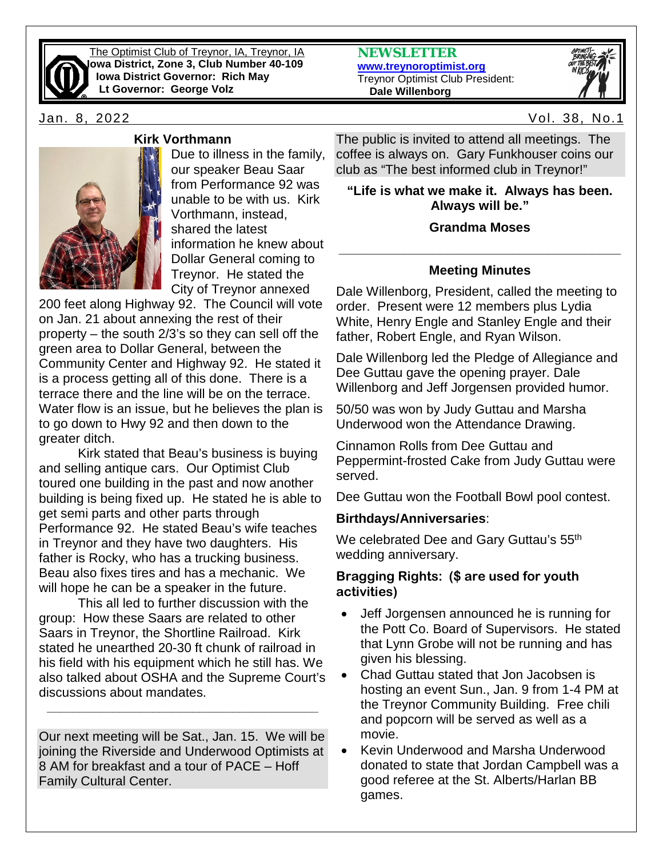

The Optimist Club of Treynor, IA, Treynor, IA **Iowa District, Zone 3, Club Number 40-109 Iowa District Governor: Rich May Lt Governor: George Volz**





Jan. 8, 2022 Vol. 38, No.1



### **Kirk Vorthmann**

Due to illness in the family, our speaker Beau Saar from Performance 92 was unable to be with us. Kirk Vorthmann, instead, shared the latest information he knew about Dollar General coming to Treynor. He stated the City of Treynor annexed

200 feet along Highway 92. The Council will vote on Jan. 21 about annexing the rest of their property – the south 2/3's so they can sell off the green area to Dollar General, between the Community Center and Highway 92. He stated it is a process getting all of this done. There is a terrace there and the line will be on the terrace. Water flow is an issue, but he believes the plan is to go down to Hwy 92 and then down to the greater ditch.

Kirk stated that Beau's business is buying and selling antique cars. Our Optimist Club toured one building in the past and now another building is being fixed up. He stated he is able to get semi parts and other parts through Performance 92. He stated Beau's wife teaches in Treynor and they have two daughters. His father is Rocky, who has a trucking business. Beau also fixes tires and has a mechanic. We will hope he can be a speaker in the future.

This all led to further discussion with the group: How these Saars are related to other Saars in Treynor, the Shortline Railroad. Kirk stated he unearthed 20-30 ft chunk of railroad in his field with his equipment which he still has. We also talked about OSHA and the Supreme Court's discussions about mandates.

Our next meeting will be Sat., Jan. 15. We will be joining the Riverside and Underwood Optimists at 8 AM for breakfast and a tour of PACE – Hoff Family Cultural Center.

**\_\_\_\_\_\_\_\_\_\_\_\_\_\_\_\_\_\_\_\_\_\_\_\_\_\_\_\_\_\_\_\_\_\_\_\_\_\_\_\_\_**

The public is invited to attend all meetings. The coffee is always on. Gary Funkhouser coins our club as "The best informed club in Treynor!"

**"Life is what we make it. Always has been. Always will be."** 

# **Grandma Moses**

# **\_\_\_\_\_\_\_\_\_\_\_\_\_\_\_\_\_\_\_\_\_\_\_\_\_\_\_\_\_\_\_\_\_\_\_\_\_\_\_ Meeting Minutes**

Dale Willenborg, President, called the meeting to order. Present were 12 members plus Lydia White, Henry Engle and Stanley Engle and their father, Robert Engle, and Ryan Wilson.

Dale Willenborg led the Pledge of Allegiance and Dee Guttau gave the opening prayer. Dale Willenborg and Jeff Jorgensen provided humor.

50/50 was won by Judy Guttau and Marsha Underwood won the Attendance Drawing.

Cinnamon Rolls from Dee Guttau and Peppermint-frosted Cake from Judy Guttau were served.

Dee Guttau won the Football Bowl pool contest.

# **Birthdays/Anniversaries**:

We celebrated Dee and Gary Guttau's 55<sup>th</sup> wedding anniversary.

# **Bragging Rights: (\$ are used for youth activities)**

- Jeff Jorgensen announced he is running for the Pott Co. Board of Supervisors. He stated that Lynn Grobe will not be running and has given his blessing.
- Chad Guttau stated that Jon Jacobsen is hosting an event Sun., Jan. 9 from 1-4 PM at the Treynor Community Building. Free chili and popcorn will be served as well as a movie.
- Kevin Underwood and Marsha Underwood donated to state that Jordan Campbell was a good referee at the St. Alberts/Harlan BB games.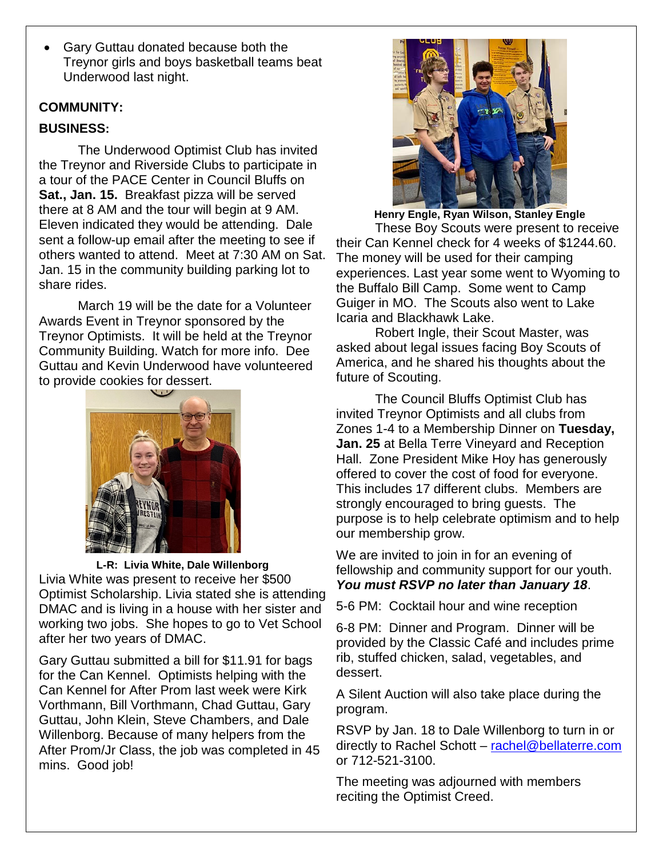• Gary Guttau donated because both the Treynor girls and boys basketball teams beat Underwood last night.

### **COMMUNITY:**

# **BUSINESS:**

The Underwood Optimist Club has invited the Treynor and Riverside Clubs to participate in a tour of the PACE Center in Council Bluffs on **Sat., Jan. 15.** Breakfast pizza will be served there at 8 AM and the tour will begin at 9 AM. Eleven indicated they would be attending. Dale sent a follow-up email after the meeting to see if others wanted to attend. Meet at 7:30 AM on Sat. Jan. 15 in the community building parking lot to share rides.

March 19 will be the date for a Volunteer Awards Event in Treynor sponsored by the Treynor Optimists. It will be held at the Treynor Community Building. Watch for more info. Dee Guttau and Kevin Underwood have volunteered to provide cookies for dessert.



**L-R: Livia White, Dale Willenborg** Livia White was present to receive her \$500 Optimist Scholarship. Livia stated she is attending DMAC and is living in a house with her sister and working two jobs. She hopes to go to Vet School after her two years of DMAC.

Gary Guttau submitted a bill for \$11.91 for bags for the Can Kennel. Optimists helping with the Can Kennel for After Prom last week were Kirk Vorthmann, Bill Vorthmann, Chad Guttau, Gary Guttau, John Klein, Steve Chambers, and Dale Willenborg. Because of many helpers from the After Prom/Jr Class, the job was completed in 45 mins. Good job!



**Henry Engle, Ryan Wilson, Stanley Engle** These Boy Scouts were present to receive their Can Kennel check for 4 weeks of \$1244.60. The money will be used for their camping experiences. Last year some went to Wyoming to the Buffalo Bill Camp. Some went to Camp Guiger in MO. The Scouts also went to Lake Icaria and Blackhawk Lake.

Robert Ingle, their Scout Master, was asked about legal issues facing Boy Scouts of America, and he shared his thoughts about the future of Scouting.

The Council Bluffs Optimist Club has invited Treynor Optimists and all clubs from Zones 1-4 to a Membership Dinner on **Tuesday, Jan. 25** at Bella Terre Vineyard and Reception Hall. Zone President Mike Hoy has generously offered to cover the cost of food for everyone. This includes 17 different clubs. Members are strongly encouraged to bring guests. The purpose is to help celebrate optimism and to help our membership grow.

We are invited to join in for an evening of fellowship and community support for our youth. *You must RSVP no later than January 18*.

5-6 PM: Cocktail hour and wine reception

6-8 PM: Dinner and Program. Dinner will be provided by the Classic Café and includes prime rib, stuffed chicken, salad, vegetables, and dessert.

A Silent Auction will also take place during the program.

RSVP by Jan. 18 to Dale Willenborg to turn in or directly to Rachel Schott – [rachel@bellaterre.com](mailto:rachel@bellaterre.com) or 712-521-3100.

The meeting was adjourned with members reciting the Optimist Creed.